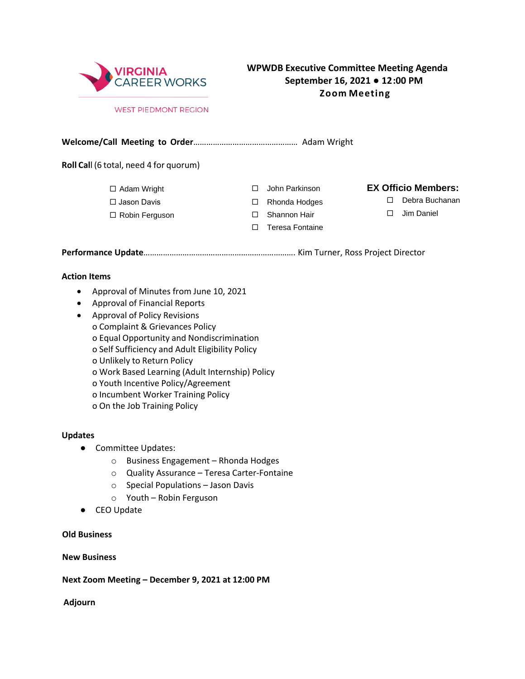

# **WPWDB Executive Committee Meeting Agenda September 16, 2021 ● 12:00 PM Zoom Meeting**

#### **WEST PIEDMONT REGION**

#### **Welcome/Call Meeting to Order**………………………………………… Adam Wright

**Roll Cal**l (6 total, need 4 for quorum)

- □ Adam Wright
- □ Jason Davis
- $\Box$  Robin Ferguson  $\Box$  Shannon Hair  $\Box$  Jim Daniel

- 
- $\Box$  Teresa Fontaine

### John Parkinson **EX Officio Members:** John Parkinson

- □ Rhonda Hodges □ Debra Buchanan
	-

**Performance Update**……………………………………………………………. Kim Turner, Ross Project Director

#### **Action Items**

- Approval of Minutes from June 10, 2021
- Approval of Financial Reports
- Approval of Policy Revisions o Complaint & Grievances Policy o Equal Opportunity and Nondiscrimination o Self Sufficiency and Adult Eligibility Policy o Unlikely to Return Policy o Work Based Learning (Adult Internship) Policy o Youth Incentive Policy/Agreement
	- o Incumbent Worker Training Policy
	- o On the Job Training Policy

#### **Updates**

- Committee Updates:
	- o Business Engagement Rhonda Hodges
	- o Quality Assurance Teresa Carter-Fontaine
	- o Special Populations Jason Davis
	- o Youth Robin Ferguson
- CEO Update

### **Old Business**

#### **New Business**

**Next Zoom Meeting – December 9, 2021 at 12:00 PM** 

**Adjourn**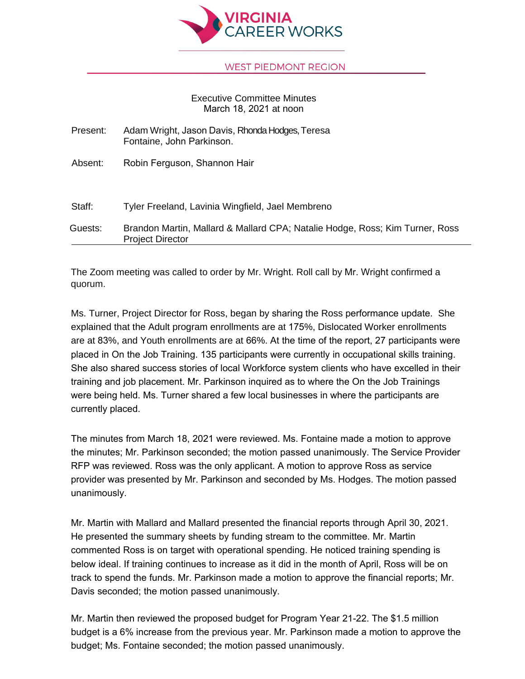

### **WEST PIEDMONT REGION**

## Executive Committee Minutes March 18, 2021 at noon

| Present: | Adam Wright, Jason Davis, Rhonda Hodges, Teresa<br>Fontaine, John Parkinson.                            |
|----------|---------------------------------------------------------------------------------------------------------|
| Absent:  | Robin Ferguson, Shannon Hair                                                                            |
| Staff:   | Tyler Freeland, Lavinia Wingfield, Jael Membreno                                                        |
| Guests:  | Brandon Martin, Mallard & Mallard CPA; Natalie Hodge, Ross; Kim Turner, Ross<br><b>Project Director</b> |

The Zoom meeting was called to order by Mr. Wright. Roll call by Mr. Wright confirmed a quorum.

Ms. Turner, Project Director for Ross, began by sharing the Ross performance update. She explained that the Adult program enrollments are at 175%, Dislocated Worker enrollments are at 83%, and Youth enrollments are at 66%. At the time of the report, 27 participants were placed in On the Job Training. 135 participants were currently in occupational skills training. She also shared success stories of local Workforce system clients who have excelled in their training and job placement. Mr. Parkinson inquired as to where the On the Job Trainings were being held. Ms. Turner shared a few local businesses in where the participants are currently placed.

The minutes from March 18, 2021 were reviewed. Ms. Fontaine made a motion to approve the minutes; Mr. Parkinson seconded; the motion passed unanimously. The Service Provider RFP was reviewed. Ross was the only applicant. A motion to approve Ross as service provider was presented by Mr. Parkinson and seconded by Ms. Hodges. The motion passed unanimously.

Mr. Martin with Mallard and Mallard presented the financial reports through April 30, 2021. He presented the summary sheets by funding stream to the committee. Mr. Martin commented Ross is on target with operational spending. He noticed training spending is below ideal. If training continues to increase as it did in the month of April, Ross will be on track to spend the funds. Mr. Parkinson made a motion to approve the financial reports; Mr. Davis seconded; the motion passed unanimously.

Mr. Martin then reviewed the proposed budget for Program Year 21-22. The \$1.5 million budget is a 6% increase from the previous year. Mr. Parkinson made a motion to approve the budget; Ms. Fontaine seconded; the motion passed unanimously.